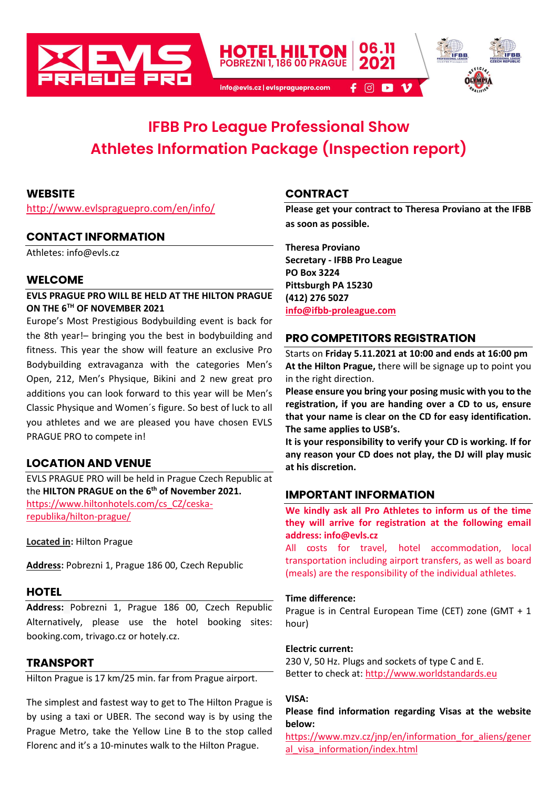

# **IFBB Pro League Professional Show Athletes Information Package (Inspection report)**

#### **WEBSITE**

[http://www.evlspraguepro.com/en/info/](about:blank)

#### **CONTACT INFORMATION**

Athletes: info@evls.cz

#### **WELCOME**

#### **EVLS PRAGUE PRO WILL BE HELD AT THE HILTON PRAGUE ON THE 6 TH OF NOVEMBER 2021**

Europe's Most Prestigious Bodybuilding event is back for the 8th year!– bringing you the best in bodybuilding and fitness. This year the show will feature an exclusive Pro Bodybuilding extravaganza with the categories Men's Open, 212, Men's Physique, Bikini and 2 new great pro additions you can look forward to this year will be Men's Classic Physique and Women´s figure. So best of luck to all you athletes and we are pleased you have chosen EVLS PRAGUE PRO to compete in!

## **LOCATION AND VENUE**

EVLS PRAGUE PRO will be held in Prague Czech Republic at the **HILTON PRAGUE on the 6 th of November 2021.** [https://www.hiltonhotels.com/cs\\_CZ/ceska](https://www.hiltonhotels.com/cs_CZ/ceska-republika/hilton-prague/)[republika/hilton-prague/](https://www.hiltonhotels.com/cs_CZ/ceska-republika/hilton-prague/)

**Located in:** Hilton Prague

**[Address:](https://www.google.com/search?q=tipsport+arena+address&stick=H4sIAAAAAAAAAOPgE-LUz9U3ME8pNDDXks1OttLPyU9OLMnMz4MzrBJTUopSi4sXsYqVZBYUF-QXlSgkFqXmJSpAJQCbnHyjRQAAAA&ludocid=5048104003758006768&sa=X&ved=2ahUKEwin3MKX0M7nAhWxyqYKHR0wBnoQ6BMwH3oECBUQAg)** Pobrezni 1, Prague 186 00, Czech Republic

# **HOTEL**

**Address:** Pobrezni 1, Prague 186 00, Czech Republic Alternatively, please use the hotel booking sites: booking.com, trivago.cz or hotely.cz.

# **TRANSPORT**

Hilton Prague is 17 km/25 min. far from Prague airport.

The simplest and fastest way to get to The Hilton Prague is by using a taxi or UBER. The second way is by using the Prague Metro, take the Yellow Line B to the stop called Florenc and it's a 10-minutes walk to the Hilton Prague.

# **CONTRACT**

**Please get your contract to Theresa Proviano at the IFBB as soon as possible.**

**Theresa Proviano Secretary - IFBB Pro League PO Box 3224 Pittsburgh PA 15230 (412) 276 5027 [info@ifbb-proleague.com](mailto:info@ifbb-proleague.com)**

# **PRO COMPETITORS REGISTRATION**

Starts on **Friday 5.11.2021 at 10:00 and ends at 16:00 pm At the Hilton Prague,** there will be signage up to point you in the right direction.

**Please ensure you bring your posing music with you to the registration, if you are handing over a CD to us, ensure that your name is clear on the CD for easy identification. The same applies to USB's.** 

**It is your responsibility to verify your CD is working. If for any reason your CD does not play, the DJ will play music at his discretion.**

## **IMPORTANT INFORMATION**

**We kindly ask all Pro Athletes to inform us of the time they will arrive for registration at the following email address: info@evls.cz**

All costs for travel, hotel accommodation, local transportation including airport transfers, as well as board (meals) are the responsibility of the individual athletes.

#### **Time difference:**

Prague is in Central European Time (CET) zone (GMT + 1 hour)

#### **Electric current:**

230 V, 50 Hz. Plugs and sockets of type C and E. Better to check at[: http://www.worldstandards.eu](http://www.worldstandards.eu/)

#### **VISA:**

#### **Please find information regarding Visas at the website below:**

[https://www.mzv.cz/jnp/en/information\\_for\\_aliens/gener](about:blank) al visa information/index.html